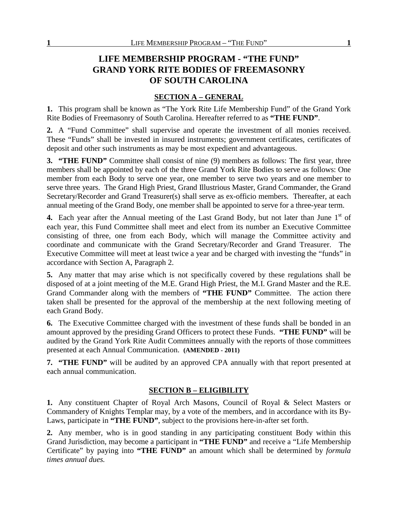# **LIFE MEMBERSHIP PROGRAM - "THE FUND" GRAND YORK RITE BODIES OF FREEMASONRY OF SOUTH CAROLINA**

## **SECTION A – GENERAL**

**1.** This program shall be known as "The York Rite Life Membership Fund" of the Grand York Rite Bodies of Freemasonry of South Carolina. Hereafter referred to as **"THE FUND"**.

**2.** A "Fund Committee" shall supervise and operate the investment of all monies received. These "Funds" shall be invested in insured instruments; government certificates, certificates of deposit and other such instruments as may be most expedient and advantageous.

**3. "THE FUND"** Committee shall consist of nine (9) members as follows: The first year, three members shall be appointed by each of the three Grand York Rite Bodies to serve as follows: One member from each Body to serve one year, one member to serve two years and one member to serve three years. The Grand High Priest, Grand Illustrious Master, Grand Commander, the Grand Secretary/Recorder and Grand Treasurer(s) shall serve as ex-officio members. Thereafter, at each annual meeting of the Grand Body, one member shall be appointed to serve for a three-year term.

**4.** Each year after the Annual meeting of the Last Grand Body, but not later than June 1<sup>st</sup> of each year, this Fund Committee shall meet and elect from its number an Executive Committee consisting of three, one from each Body, which will manage the Committee activity and coordinate and communicate with the Grand Secretary/Recorder and Grand Treasurer. The Executive Committee will meet at least twice a year and be charged with investing the "funds" in accordance with Section A, Paragraph 2.

**5.** Any matter that may arise which is not specifically covered by these regulations shall be disposed of at a joint meeting of the M.E. Grand High Priest, the M.I. Grand Master and the R.E. Grand Commander along with the members of **"THE FUND"** Committee. The action there taken shall be presented for the approval of the membership at the next following meeting of each Grand Body.

**6.** The Executive Committee charged with the investment of these funds shall be bonded in an amount approved by the presiding Grand Officers to protect these Funds. **"THE FUND"** will be audited by the Grand York Rite Audit Committees annually with the reports of those committees presented at each Annual Communication. **(AMENDED - 2011)**

**7. "THE FUND"** will be audited by an approved CPA annually with that report presented at each annual communication.

## **SECTION B – ELIGIBILITY**

**1.** Any constituent Chapter of Royal Arch Masons, Council of Royal & Select Masters or Commandery of Knights Templar may, by a vote of the members, and in accordance with its By-Laws, participate in **"THE FUND"**, subject to the provisions here-in-after set forth.

**2.** Any member, who is in good standing in any participating constituent Body within this Grand Jurisdiction, may become a participant in **"THE FUND"** and receive a "Life Membership Certificate" by paying into **"THE FUND"** an amount which shall be determined by *formula times annual dues.*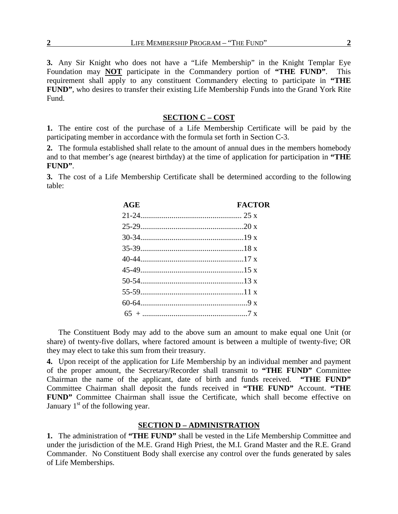**3.** Any Sir Knight who does not have a "Life Membership" in the Knight Templar Eye Foundation may **NOT** participate in the Commandery portion of **"THE FUND"**. This requirement shall apply to any constituent Commandery electing to participate in **"THE FUND"**, who desires to transfer their existing Life Membership Funds into the Grand York Rite Fund.

### **SECTION C – COST**

**1.** The entire cost of the purchase of a Life Membership Certificate will be paid by the participating member in accordance with the formula set forth in Section C-3.

**2.** The formula established shall relate to the amount of annual dues in the members homebody and to that member's age (nearest birthday) at the time of application for participation in **"THE FUND"**.

**3.** The cost of a Life Membership Certificate shall be determined according to the following table:

| AGE          | <b>FACTOR</b> |
|--------------|---------------|
|              |               |
|              |               |
|              |               |
|              |               |
|              |               |
|              |               |
|              |               |
|              |               |
|              |               |
| $65 + \dots$ |               |

The Constituent Body may add to the above sum an amount to make equal one Unit (or share) of twenty-five dollars, where factored amount is between a multiple of twenty-five; OR they may elect to take this sum from their treasury.

**4.** Upon receipt of the application for Life Membership by an individual member and payment of the proper amount, the Secretary/Recorder shall transmit to **"THE FUND"** Committee Chairman the name of the applicant, date of birth and funds received. **"THE FUND"** Committee Chairman shall deposit the funds received in **"THE FUND"** Account. **"THE FUND"** Committee Chairman shall issue the Certificate, which shall become effective on January  $1<sup>st</sup>$  of the following year.

#### **SECTION D – ADMINISTRATION**

**1.** The administration of **"THE FUND"** shall be vested in the Life Membership Committee and under the jurisdiction of the M.E. Grand High Priest, the M.I. Grand Master and the R.E. Grand Commander. No Constituent Body shall exercise any control over the funds generated by sales of Life Memberships.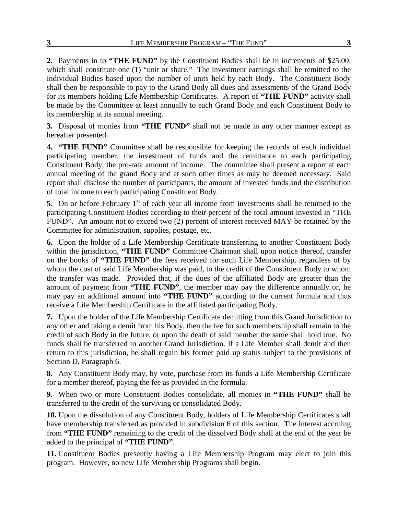**2.** Payments in to **"THE FUND"** by the Constituent Bodies shall be in increments of \$25.00, which shall constitute one (1) "unit or share." The investment earnings shall be remitted to the individual Bodies based upon the number of units held by each Body. The Constituent Body shall then be responsible to pay to the Grand Body all dues and assessments of the Grand Body for its members holding Life Membership Certificates. A report of **"THE FUND"** activity shall be made by the Committee at least annually to each Grand Body and each Constituent Body to its membership at its annual meeting.

**3.** Disposal of monies from **"THE FUND"** shall not be made in any other manner except as hereafter presented.

**4. "THE FUND"** Committee shall be responsible for keeping the records of each individual participating member, the investment of funds and the remittance to each participating Constituent Body, the pro-rata amount of income. The committee shall present a report at each annual meeting of the grand Body and at such other times as may be deemed necessary. Said report shall disclose the number of participants, the amount of invested funds and the distribution of total income to each participating Constituent Body.

**5.** On or before February 1<sup>st</sup> of each year all income from investments shall be returned to the participating Constituent Bodies according to their percent of the total amount invested in "THE FUND". An amount not to exceed two (2) percent of interest received MAY be retained by the Committee for administration, supplies, postage, etc.

**6.** Upon the holder of a Life Membership Certificate transferring to another Constituent Body within the jurisdiction, "THE FUND" Committee Chairman shall upon notice thereof, transfer on the books of **"THE FUND"** the fees received for such Life Membership, regardless of by whom the cost of said Life Membership was paid, to the credit of the Constituent Body to whom the transfer was made. Provided that, if the dues of the affiliated Body are greater than the amount of payment from **"THE FUND"**, the member may pay the difference annually or, he may pay an additional amount into **"THE FUND"** according to the current formula and thus receive a Life Membership Certificate in the affiliated participating Body.

**7.** Upon the holder of the Life Membership Certificate demitting from this Grand Jurisdiction to any other and taking a demit from his Body, then the fee for such membership shall remain to the credit of such Body in the future, or upon the death of said member the same shall hold true. No funds shall be transferred to another Grand Jurisdiction. If a Life Member shall demit and then return to this jurisdiction, he shall regain his former paid up status subject to the provisions of Section D, Paragraph 6.

**8.** Any Constituent Body may, by vote, purchase from its funds a Life Membership Certificate for a member thereof, paying the fee as provided in the formula.

**9.** When two or more Constituent Bodies consolidate, all monies in **"THE FUND"** shall be transferred to the credit of the surviving or consolidated Body.

**10.** Upon the dissolution of any Constituent Body, holders of Life Membership Certificates shall have membership transferred as provided in subdivision 6 of this section. The interest accruing from **"THE FUND"** remaining to the credit of the dissolved Body shall at the end of the year be added to the principal of **"THE FUND"**.

**11.** Constituent Bodies presently having a Life Membership Program may elect to join this program. However, no new Life Membership Programs shall begin.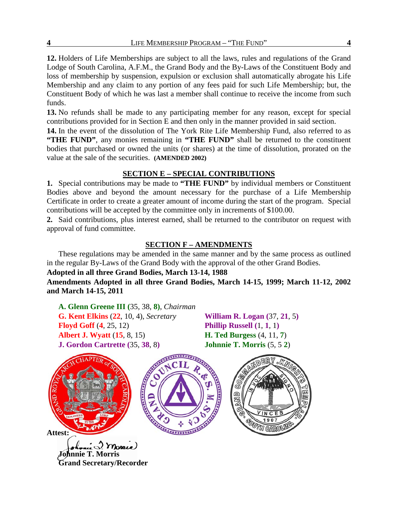**12.** Holders of Life Memberships are subject to all the laws, rules and regulations of the Grand Lodge of South Carolina, A.F.M., the Grand Body and the By-Laws of the Constituent Body and loss of membership by suspension, expulsion or exclusion shall automatically abrogate his Life Membership and any claim to any portion of any fees paid for such Life Membership; but, the Constituent Body of which he was last a member shall continue to receive the income from such funds.

**13.** No refunds shall be made to any participating member for any reason, except for special contributions provided for in Section E and then only in the manner provided in said section.

**14.** In the event of the dissolution of The York Rite Life Membership Fund, also referred to as **"THE FUND"**, any monies remaining in **"THE FUND"** shall be returned to the constituent bodies that purchased or owned the units (or shares) at the time of dissolution, prorated on the value at the sale of the securities. **(AMENDED 2002)**

# **SECTION E – SPECIAL CONTRIBUTIONS**

**1.** Special contributions may be made to **"THE FUND"** by individual members or Constituent Bodies above and beyond the amount necessary for the purchase of a Life Membership Certificate in order to create a greater amount of income during the start of the program. Special contributions will be accepted by the committee only in increments of \$100.00.

**2.** Said contributions, plus interest earned, shall be returned to the contributor on request with approval of fund committee.

# **SECTION F – AMENDMENTS**

These regulations may be amended in the same manner and by the same process as outlined in the regular By-Laws of the Grand Body with the approval of the other Grand Bodies.

## **Adopted in all three Grand Bodies, March 13-14, 1988**

**Amendments Adopted in all three Grand Bodies, March 14-15, 1999; March 11-12, 2002 and March 14-15, 2011**

**A. Glenn Greene III (**35, 38, **8)**, *Chairman* **G. Kent Elkins** (**22**, 10, 4), *Secretary* **William R. Logan (**37, **21**, 5**) Floyd Goff** (**4**, 25, 12) **Phillip Russell (**1, **1**, 1**) Albert J. Wyatt** (**15**, 8, 15) **H. Ted Burgess** (4, 11, **7**) **J. Gordon Cartrette (**35, **38**, 8**) Johnnie T. Morris** (5, 5 **2**)

**Johnnie T. Morris**

**Grand Secretary/Recorder**